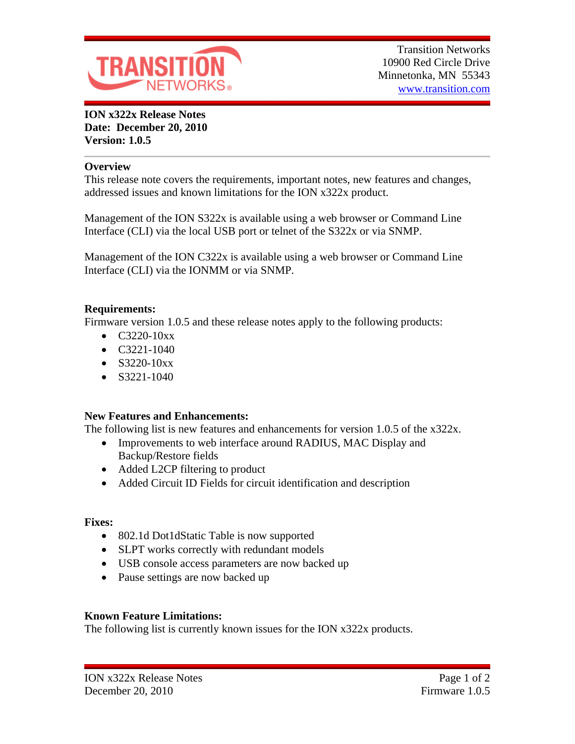

**ION x322x Release Notes Date: December 20, 2010 Version: 1.0.5**

#### **Overview**

This release note covers the requirements, important notes, new features and changes, addressed issues and known limitations for the ION x322x product.

Management of the ION S322x is available using a web browser or Command Line Interface (CLI) via the local USB port or telnet of the S322x or via SNMP.

Management of the ION C322x is available using a web browser or Command Line Interface (CLI) via the IONMM or via SNMP.

# **Requirements:**

Firmware version 1.0.5 and these release notes apply to the following products:

- $\bullet$  C3220-10xx
- $\bullet$  C3221-1040
- $\bullet$  S3220-10xx
- $\bullet$  S3221-1040

# **New Features and Enhancements:**

The following list is new features and enhancements for version 1.0.5 of the x322x.

- Improvements to web interface around RADIUS, MAC Display and Backup/Restore fields
- Added L2CP filtering to product
- Added Circuit ID Fields for circuit identification and description

# **Fixes:**

- 802.1d Dot1dStatic Table is now supported
- SLPT works correctly with redundant models
- USB console access parameters are now backed up
- Pause settings are now backed up

# **Known Feature Limitations:**

The following list is currently known issues for the ION x322x products.